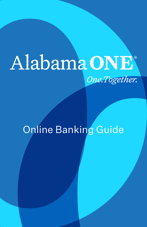# Alabama ONE One.Together.

## Online Banking Guide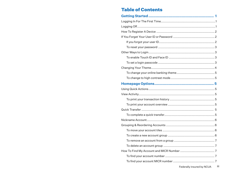## **Table of Contents**

iii Federally insured by NCUA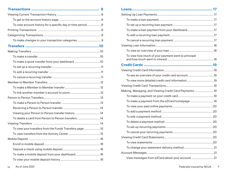| To view account history for a specific day or time period  8 |  |
|--------------------------------------------------------------|--|
|                                                              |  |
|                                                              |  |
| To make changes to your transaction categories9              |  |
|                                                              |  |
|                                                              |  |
|                                                              |  |
| To make a quick transfer from your dashboard 10              |  |
|                                                              |  |
|                                                              |  |
|                                                              |  |
|                                                              |  |
|                                                              |  |
|                                                              |  |
|                                                              |  |
|                                                              |  |
|                                                              |  |
| Viewing your Person to Person transfer history 14            |  |
| To delete a card from Person to Person transfers14           |  |
|                                                              |  |
| To view your transfers from the Funds Transfers page 15      |  |
|                                                              |  |
|                                                              |  |
|                                                              |  |
|                                                              |  |
| To make a mobile deposit from your dashboard16               |  |
|                                                              |  |

| To make a loan payment from your dashboard17         |
|------------------------------------------------------|
|                                                      |
|                                                      |
|                                                      |
|                                                      |
| To view how much of your payment went to principal   |
|                                                      |
|                                                      |
| To see an overview of your credit card account19     |
| To view more detailed credit card information 19     |
|                                                      |
| Making, Managing, and Viewing Credit Card Payments19 |
|                                                      |
| To make a payment from the eZCard homepage19         |
|                                                      |
|                                                      |
|                                                      |
|                                                      |
|                                                      |
|                                                      |
|                                                      |
|                                                      |
|                                                      |
|                                                      |
| View messages from eZCard about your account 21      |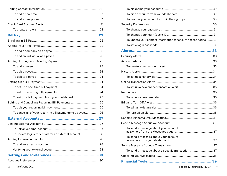| To set up a bill payment from your dashboard  25             |  |
|--------------------------------------------------------------|--|
| Editing and Cancelling Recurring Bill Payments  25           |  |
|                                                              |  |
| To cancel all of your recurring bill payments to a payee  26 |  |
|                                                              |  |
|                                                              |  |
|                                                              |  |
| To update login credentials for an external account  28      |  |
|                                                              |  |
|                                                              |  |
|                                                              |  |
|                                                              |  |
|                                                              |  |
|                                                              |  |

|                                                              | To reorder your accounts within their groups30                |  |
|--------------------------------------------------------------|---------------------------------------------------------------|--|
|                                                              |                                                               |  |
|                                                              |                                                               |  |
|                                                              |                                                               |  |
|                                                              | To update your contact information for secure access codes 31 |  |
|                                                              |                                                               |  |
|                                                              |                                                               |  |
|                                                              |                                                               |  |
|                                                              |                                                               |  |
|                                                              |                                                               |  |
|                                                              |                                                               |  |
|                                                              |                                                               |  |
|                                                              |                                                               |  |
|                                                              |                                                               |  |
|                                                              |                                                               |  |
| To set up a bill payment from your dashboard  25             |                                                               |  |
| Editing and Cancelling Recurring Bill Payments  25           |                                                               |  |
|                                                              |                                                               |  |
| To cancel all of your recurring bill payments to a payee  26 |                                                               |  |
|                                                              |                                                               |  |
|                                                              |                                                               |  |
|                                                              | To send a message about your account                          |  |
| To update login credentials for an external account  28      |                                                               |  |
|                                                              | To send a message about your account                          |  |
|                                                              |                                                               |  |
|                                                              | To send a message about a specific transaction  37            |  |
|                                                              |                                                               |  |
|                                                              |                                                               |  |
| As of June 2021<br>vi                                        | Federally insured by NCUA Vii                                 |  |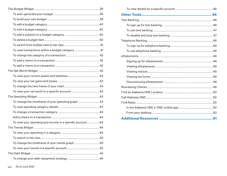| To view transactions within a budget category 41         |  |
|----------------------------------------------------------|--|
|                                                          |  |
|                                                          |  |
|                                                          |  |
|                                                          |  |
|                                                          |  |
|                                                          |  |
|                                                          |  |
|                                                          |  |
|                                                          |  |
| To change the timeframe of your spending graph43         |  |
|                                                          |  |
|                                                          |  |
|                                                          |  |
| To view your spending and income in a specific account44 |  |
|                                                          |  |
|                                                          |  |
|                                                          |  |
| To change the timeframe of your trends graph  45         |  |
|                                                          |  |
|                                                          |  |
|                                                          |  |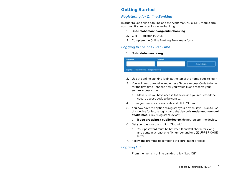## **Getting Started**

#### *Registering for Online Banking*

In order to use online banking and the Alabama ONE e-ONE mobile app, you must first register for online banking.

- 1. Go to **alabamaone.org/onlinebanking**
- 2. Click "Register TODAY!"
- 3. Complete the Online Banking Enrollment form

#### *Logging In For The First Time*

#### 1. Go to **alabamaone.org**



- 2. Use the online banking login at the top of the home page to login
- 3. You will need to receive and enter a Secure Access Code to login for the first time - choose how you would like to receive your secure access code
	- a. Make sure you have access to the device you requested the secure access code to be sent to.
- 4. Enter your secure access code and click "Submit"
- 5. You now have the option to register your device; if you plan to use this device for future logins, and the device is **under your control at all times,** click "Register Device"
	- a. **If you are using a public device**, do not register the device.
- 6. Set your password and click "Submit"
	- a. Your password must be between 8 and 20 characters long and contain at least one (1) number and one (1) UPPER CASE letter
- 7. Follow the prompts to complete the enrollment process

#### *Logging Off*

1. From the menu in online banking, click "Log Off"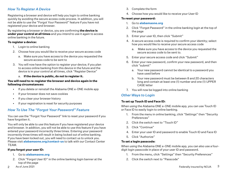#### *How To Register A Device*

Registering a browser and device will help you login to online banking quickly by avoiding the secure access code process. In addition, you will not be able to use the "Forgot Your Password" feature if you have not registered your device and browser.

By registering a browser or device, you are confirming **the device is under your control at all times** and you intend to use it again to access online banking in the future.

#### **To register a device:**

- 1. Login to online banking
- 2. Choose how you would like to receive your secure access code
	- a. Make sure you have access to the device you requested the secure access code to be sent to
- 3. You will now have the option to register your device; if you plan to access online banking from this device in the future and the device is in your control at all times, click "Register Device"
	- a. **If the device is public, do not to register it.**

#### **You will need to re-register the browser and device again in the following circumstances:**

- If you delete or reinstall the Alabama ONE e-ONE mobile app
- If your browser does not save cookies
- If you clear your browser history
- If your registration is reset for security purposes

### *How To Use The "Forgot Your Password" Feature*

You can use the "Forgot Your Password" link to reset your password if you have forgotten it.

You will only be able to use this feature if you have registered your device and browser. In addition, you will not be able to use this feature if you have entered your password incorrectly three times. Entering your password incorrectly three times will result in being locked out of online banking. If you have been locked out, you will need to contact us to unlock you. Please visit **alabamaone.org/contact-us** to talk with our Contact Center TEAM.

#### **If you forgot your user ID:**

- 1. Go to **alabamaone.org**
- 2. Click "Forgot User ID" in the online banking login banner at the top of the page
- 3. Complete the form
- 4. Choose how you would like to receive your User ID

#### **To reset your password:**

- 1. Go to **alabamaone.org**
- 2. Click "Forgot Password" in the online banking login at the top of the page
- 3. Enter your user ID, then click "Submit"
- 4. A secure access code is required to confirm your identity; select how you would like to receive your secure access code
	- a. Make sure you have access to the device you requested the secure access code to be sent to.
- 5. Enter your secure access code and click "Submit"
- 6. Enter your new password, confirm your new password, and then click "submit"
	- a. Your new password cannot be identical to a password you have used before
	- b. Your new password must be between 8 and 20 characters long and contain at least one (1) number and one (1) UPPER CASE letter
- 7. You will now be logged into online banking

#### *Other Ways to Login*

#### **To set up Touch ID and Face ID:**

When using the Alabama ONE e-ONE mobile app, you can use Touch ID or Face ID to easily login to online banking.

- 1. From the menu in online banking, click "Settings" then "Security Preferences"
- 2. Click the switch next to "Touch ID"
- 3. Click "Continue"
- 4. Enter your user ID and password to enable Touch ID and Face ID
- 5. Click "Authorize"

#### **To set a login passcode:**

When using the Alabama ONE e-ONE mobile app, you can also use a fourdigit login passcode in place of your user ID and password.

- 1. From the menu, click "Settings" then "Security Preferences"
- 2. Click the switch next to "Passcode"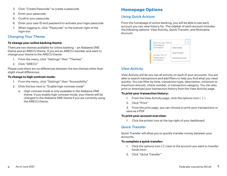- 3. Click "Create Passcode" to create a passcode
- 4. Enter your passcode
- 5. Confirm your passcode
- 6. Enter your user ID and password to activate your login passcode
- 7. When logging in, click "Passcode" to the bottom right of the login box

#### *Changing Your Theme*

#### **To change your online banking theme:**

There are two themes available for online banking - an Alabama ONE theme and an ARECU theme. If you are an ARECU member and want to change your theme to the ARECU theme:

- 1. From the menu, click "Settings" then "Themes"
- 2. Click "ARECU"

Please note there are no differences between the two themes other than slight visual differences.

#### **To change to high contrast mode:**

- 1. From the menu, click "Settings" then "Accessibility"
- 2. Click the box next to "Enable high contrast mode"
	- a. High contrast mode is only available in the Alabama ONE theme. If you enable high contrast mode, your theme will be changed to the Alabama ONE theme if you are currently using the ARECU theme.

## **Homepage Options**

#### *Using Quick Actions*

From the homepage of online banking, you will be able to see each account you can view history for. The sidebar of each account includes the following options: View Activity, Quick Transfer, and Nickname Account.

| Man Savings 730-00                    |                        |
|---------------------------------------|------------------------|
| Current Balance<br>Current Editoricio | View Activity          |
| Unimes 730-72                         | <b>Juick Trainsfer</b> |
|                                       | NACRONAISME ACCIDENTE  |

## *View Activity*

View Activity will let you see all activity on each of your accounts. You are able to search transactions and add filters to help you find what you need quickly. You can filter by time, transaction type, description, minimum to maximum amount, check number, or transaction category. You can also print or download your transaction history from the View Activity page.

#### **To print your transaction history:**

- 1. From the View Activity page, click the options icon  $(\cdot, \cdot)$
- 2. Click "Print"
- 3. From the print page, you can choose to print your transactions or save as a PDF

#### **To print your account overview:**

1. Click the printer icon at the top right of your dashboard

#### *Quick Transfer*

Quick Transfer will allow you to quickly transfer money between your accounts.

#### **To complete a quick transfer:**

- 1. Click the options icon  $\binom{1}{4}$  next to the account you want to transfer funds from
- 2. Click "Quick Transfer"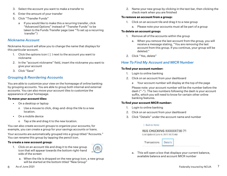- 3. Select the account you want to make a transfer to
- 4. Enter the amount of your transfer
- 5. Click "Transfer Funds"
	- a If you would like to make this a recurring transfer, click "Advanced Options" instead of "Transfer Funds" to be taken to the Funds Transfer page (see "To set up a recurring transfer")

#### *Nickname Account*

Nickname Account will allow you to change the name that displays for this particular account.

- 1. Click the options icon  $(\frac{1}{2})$  next to the account you want to nickname
- 2. In the "account nickname" field, insert the nickname you want to give your account
- 3. Click "Save"

#### *Grouping & Reordering Accounts*

You are able to customize your view on the homepage of online banking by grouping accounts. You are able to group both internal and external accounts. You can also move your account tiles to customize the appearance of your homepage.

#### **To move your account tiles:**

- On a desktop or laptop
	- o Use a mouse to click, drag-and-drop the tile to a new location.
- On a mobile device
	- o Tap a tile and drag it to the new location.

You can also create account groups to organize your accounts; for example, you can create a group for your savings accounts or loans.

Your accounts are automatically grouped into a group titled "Accounts." You can rename this group by tapping the pencil icon.

#### **To create a new account group:**

- 1. Click on an account tile and drag it to the new group icon that will appear towards the bottom right-hand side of the screen
	- a. When the tile is dropped on the new group icon, a new group will be started at the bottom titled "New Group"

2. Name your new group by clicking in the text bar, then clicking the check mark when you are finished

#### **To remove an account from a group:**

- 1. Click on an account tile and drag it to a new group
	- a. Please note your accounts must all be part of a group

#### **To delete an account group:**

- 1. Remove all of the accounts within the group
	- a. When you remove the last account from the group, you will receive a message stating, "You are removing the last account from this group. If you continue, your group will be deleted."
- 2. Click "Yes, delete"

## *How To Find My Account and MICR Number*

#### **To find your account number:**

- 1. Login to online banking
- 2. Click on an account from your dashboard
	- a Your account number will display at the top of the page

 Please note: your account number will be the number before the dash ("-"). The two numbers following the dash is your account suffix, which you will need to know for certain other online banking features.

#### **To find your account MICR number:**

- 1. Login to online banking
- 2. Click on an account from your dashboard
- 3. Click "Details" under the account name and number

#### C. Back to Home



Transactions Details

 a. This will open a box that displays your current balance, available balance and account MICR number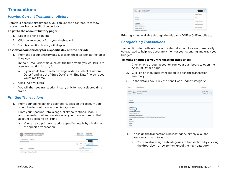## **Transactions**

## *Viewing Current Transaction History*

From your account history page, you can use the filter feature to view transactions from specific time periods.

#### **To get to the account history page:**

- 1. Login to online banking
- 2. Click on an account from your dashboard
- 3. Your transaction history will display

#### **To view account history for a specific day or time period:**

- 1. From the account history page, click on the filter icon at the top of the page
- 2. In the "Time Period" field, select the time frame you would like to view transaction history for
	- a. If you would like to select a range of dates, select "Custom Dates" and use the "Start Date" and "End Date" fields to set your time frame
- 3. Click "Apply Filters"
- 4. You will then see transaction history only for your selected time frame

#### *Printing Transactions*

- 1. From your online banking dashboard, click on the account you would like to print transaction history from
- 2. From your Account Details page, click the "options" icon ( ) and choose to print an overview of all your transactions on that account by clicking on "Print"
	- a. You can also print transaction-specific details by clicking on the specific transaction

| MORTGAGE 300000730-53<br>(exciption exports) (on its even) | \$881.14<br>\$881.14<br><b>Culminal Asciators</b> |
|------------------------------------------------------------|---------------------------------------------------|
|                                                            |                                                   |
|                                                            |                                                   |
|                                                            |                                                   |
| MAY 1  Aurds Transfer                                      | $-80$                                             |

| Funds Transfer<br>$\frac{m}{m}$ (1)<br><b>STACK Index of Co.</b> |  |
|------------------------------------------------------------------|--|
| THE CONTRACTOR COMPANY<br><b>TEST</b>                            |  |
| in.                                                              |  |
| ×                                                                |  |
|                                                                  |  |
|                                                                  |  |
| Glabal straints: 2 all durings costs.<br>.                       |  |

Printing is not available through the Alabama ONE e-ONE mobile app.

## *Categorizing Transactions*

Transactions for both internal and external accounts are automatically categorized to help you accurately monitor your spending and track your budgets.

#### **To make changes to your transaction categories:**

- 1. Click on one of your accounts from your dashboard to open the Account Details page
- 2. Click on an individual transaction to open the transaction summary
- 3. In the details box, click the pencil icon under "Category"

| :Description                                                    |                                                             | Annun                      |
|-----------------------------------------------------------------|-------------------------------------------------------------|----------------------------|
| Functs Transfer<br>To develop                                   |                                                             | (\$25.00)<br>Ë<br>18881.14 |
| <b>Tertuals</b>                                                 |                                                             |                            |
| CHORBIZE<br>ande C<br>Online Description:<br>Funds Transfer Jr. |                                                             |                            |
| Statement Description:                                          | Oritmi banking Withsbaust To 50051 Funds Transfer da Ordini |                            |
|                                                                 |                                                             |                            |
| Date:<br>VAULUS<br>Type:<br>Date:                               |                                                             |                            |

- 4. To assign the transaction a new category, simply click the category you want to assign
	- a. You can also assign subcategories to transactions by clicking the drop-down arrow to the right of the main category.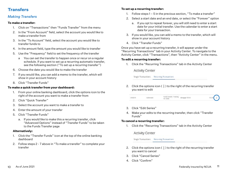## **Transfers**

#### *Making Transfers*

#### **To make a transfer:**

- 1. Click on "Transactions" then "Funds Transfer" from the menu
- 2. In the "From Account" field, select the account you would like to make a transfer from
- 3. In the "To Account" field, select the account you would like to transfer funds to
- 4. In the amount field, type the amount you would like to transfer
- 5. Use the "Frequency" field to set the frequency of the transfer
	- a You can set the transfer to happen once or recur on a regular schedule. If you want to set up a recurring automatic transfer, see the following section ("To set up a recurring transfer")
- 6. Choose the date you would like to make the transfer
- 7. If you would like, you can add a memo to the transfer, which will show in your account history
- 8. Click "Transfer Funds"

#### **To make a quick transfer from your dashboard:**

- 1. From your online banking dashboard, click the options icon to the right of the account you want to make a transfer from
- 2. Click "Quick Transfer"
- 3. Select the account you want to make a transfer to
- 4. Enter the amount of your transfer
- 5. Click "Transfer Funds"
	- a. If you would like to make this a recurring transfer, click "Advanced Options" instead of "Transfer Funds" to be taken to the Funds Transfer page

#### **Alternatively:**

- 1. Click the "Transfer Funds" icon at the top of the online banking dashboard
- 2. Follow steps 2 7 above in "To make a transfer" to complete your transfer

#### **To set up a recurring transfer:**

- 1. Follow steps 1 5 in the previous section, "To make a transfer"
- 2. Select a start date and an end date, or select the "Forever" option
	- a. If you opt to repeat forever, you will still need to enter a start date for your initial transfer. Use the calendar to enter a start date for your transaction.
- 3. If you would like, you can add a memo to the transfer, which will show in your account history
- 4. Click "Transfer Funds"

Once you have set up a recurring transfer, it will appear under the "Recurring Transactions" tab in your Activity Center. To navigate to the Activity Center, click "Transactions", then "Activity Center" in the menu.

#### **To edit a recurring transfer:**

1. Click the "Recurring Transactions" tab in the Activity Center

**Activity Center** 

Single Transactions Recurring Transactions

2. Click the options icon  $(\frac{1}{2})$  to the right of the recurring transfer you want to edit

| Pulos Transfer - Traduitg. Mexigage 736-53<br>04/2019<br>Authorized.<br>D: 15260 |  |  |  |  | \$1230 | $\mathbb{R}$ |
|----------------------------------------------------------------------------------|--|--|--|--|--------|--------------|
|----------------------------------------------------------------------------------|--|--|--|--|--------|--------------|

- 3. Click "Edit Series"
- 4. Make your edits to the recurring transfer, then click "Transfer Funds"

#### **To cancel a recurring transfer:**

1. Click the "Recurring Transactions" tab in the Activity Center

**Activity Center** 

Single Transactions Recurring Transactions

- 2. Click the options icon  $(\frac{1}{2})$  to the right of the recurring transfer you want to cancel
- 3. Click "Cancel Series"
- 4. Click "Confirm"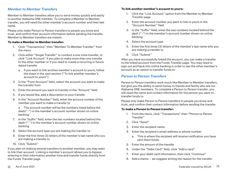#### *Member to Member Transfers*

Member to Member transfers allow you to send money quickly and easily to another Alabama ONE member. To complete a Member to Member transfer, you will need the other member's account number and their last name.

Please only make Person to Person transfers to people you know and trust, and confirm their account information before sending the transfer. Member to Member transfers are instant.

#### **To make a Member to Member transfer:**

- 1. Click "Transactions" then "Member To Member Transfer" from the menu
- 2. Click either "Single Transfer" to conduct a one-time transfer, or click "Link Account" if you plan to make more than one transfer to the other member or if you need to create a recurring or future dated transfer
	- a If you want to link another member's account to yours, follow the steps in the next section ("To link another member's account to yours")
- 3. In the "From Account" field, select the account you want to make the transfer from
- 4. Enter the amount you want to transfer in the "Amount" field
- 5. If you would like, add a description to your transfer
- 6. In the "Account Number" field, enter the account number of the member you want to make a transfer to

 a The account number will be the numbers listed before the dash("-") in the member's account number shown on online banking

- 7. In the "Suffix" field, enter the two numbers located behind the dash ("-") in the member's account number shown on online banking
- 8. Select the account type you are making the transfer to
- 9. Enter the first three (3) letters of the member's last name who you are making a transfer to
- 10. Click "Submit"

If you plan on making several transfers to another member, you may want to link their account. Linking a member's account allows you to bypass entering in their information another time and transfer funds directly from the Funds Transfer page.

#### **To link another member's account to yours:**

- 1. Click the "Link Account" option from the Member to Member Transfer page.
- 2. Enter the account number you want to link to yours in the "Account Number" field
- 3. In the "Suffix" field, enter the two numbers located behind the dash ("-") in the member's account number shown on online banking
- 4. Select the account type
- 5. Enter the first three (3) letters of the member's last name who you are making a transfer to
- 6. Click "Submit"

After you have successfully linked the account, you can make a transfer to the linked account from the Funds Transfer page. You may need to sign out and back into online banking in order to see the other member's account as an option to transfer funds to.

#### *Person to Person Transfers*

Person to Person transfers work much like Member to Member transfers, but give you the ability to send money to friends and family who are not Alabama ONE members. To complete a Person to Person transfer, you will need the name and contact information for the person you want to transfer funds to.

Please only make Person to Person transfers to people you know and trust, and confirm their contact information before sending the transfer.

#### **To make a Person to Person transfer:**

- 1. From the menu, click "Transactions" then "Person to Person Transfer"
- 2. Click "Send"
- 3. Enter the recipient name
- 4. Enter the recipient's email address or phone number
	- a. This is where the recipient will receive notification you have sent them funds.
- 5. Enter the amount of the transfer
- 6. Under the "Debit Card" field, click "Add a card"
- 7. Enter your debit card information, then click "Continue"
- 8. Add a memo we suggest writing the reason for the transfer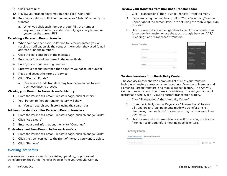- 9. Click "Continue"
- 10. Review your transfer information, then click "Continue"
- 11. Enter your debit card PIN number and click "Submit" to verify the transfer
	- a. When you click each number of your PIN, the number keyboard will shuffle for added security; go slowly to ensure you enter the correct PIN

#### **Receiving a Person to Person transfer:**

- 1. When someone sends you a Person to Person transfer, you will receive a notification via the contact information they used (email address or phone number)
- 2. Click the link contained in the message
- 3. Enter your first and last name in the name fields
- 4. Enter your account routing number
- 5. Enter your account number, then confirm your account number
- 6. Read and accept the terms of service
- 7. Click "Deposit Funds"
	- a. Please note funds transfers may take between two to four business days to process

#### **Viewing your Person to Person transfer history:**

- 1. From the Person to Person Transfers page, click "History"
- 2. Your Person to Person transfer history will show
	- a. You can search your history using the search bar

#### **Add another debit card for Person to Person transfers:**

- 1. From the Person to Person Transfers page, click "Manage Cards"
- 2. Click "Add a card"
- 3. Enter your card information, then click "Continue"

### **To delete a card from Person to Person transfers:**

- 1. From the Person to Person Transfers page, click "Manage Cards"
- 2. Click the trash can icon to the right of the card you want to delete
- 3. Click "Remove"

## *Viewing Transfers*

You are able to view or search for existing, pending, or processed transfers from the Funds Transfer Page or from your Activity Center.

## **To view your transfers from the Funds Transfer page:**

- 1. Click "Transactions" then "Funds Transfer" from the menu
- 2. If you are using the mobile app, click "Transfer Activity" on the upper right of the screen. If you are not using the mobile app, skip this step.
- 3. Use the search bar on the right-hand side of the screen to look for a specific transfer, or use the tabs to toggle between "All," "Pending," and "Processed" transfers

| Funds Transfer |  |  |
|----------------|--|--|
| .              |  |  |
|                |  |  |
|                |  |  |
|                |  |  |

#### **To view transfers from the Activity Center:**

The Activity Center shows a complete list of all of your transfers, including transfers across your own accounts, Member to Member and Person to Person transfers, and mobile deposit history. The Activity Center does not show other transaction history. To view your account history as a whole, see "Viewing current transaction history."

- 1. Click "Transactions" then "Activity Center"
- 2. From the Activity Center Page, click "Transactions" to view all transfers and loan payments made via transfer or click "Recurring Transactions" to view recurring transfers and loan payments.
- 3. Use the search bar to search for a specific transfer, or click the filter icon to find transfers meeting specific criteria

#### **Activity Center**

<sup>4</sup> Seath transition

Single Transaccions - Recurring Transaccions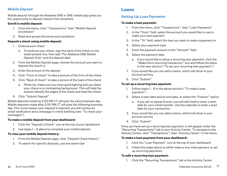#### *Mobile Deposit*

Mobile deposit through the Alabama ONE e-ONE mobile app gives you the opportunity to deposit checks from anywhere.

#### **Enroll in mobile deposit:**

- 1. From the menu, click "Transactions" then "Mobile Deposit Enrollment"
- 2. Read and accept the terms and conditions

#### **Deposit a check using mobile deposit:**

- 1. Endorse your check
	- a. To endorse your check, sign the back of the check on the endorsement line, then add "For Alabama ONE Mobile Deposit Only" and the deposit date
- 2. From the Mobile Deposit page, choose the account you want to deposit the check to
- 3. Enter the amount of the deposit
- 4. Click "Front of check" to take a picture of the front of the check
- 5. Click "Back of check" to take a picture of the back of the check
	- a. Photo tip: make sure you have good lighting and you place your check on a contrasting background. This will help the system identify the edges of the check and read the check.
- 6. Click "Submit Deposit"

Mobile deposits made by 2:00 PM CT will post the same business day. Mobile deposits made after 2:00 PM CT will post the following business day. If for some reason your deposit is rejected, you will receive an email notification and a message in online banking (see "To check your messages").

#### **To make a mobile deposit from your dashboard:**

- 1. Click the "Deposit a Check" icon at the top of your dashboard
- 2. Use steps 1 6 above to complete your mobile deposit

#### **To view your mobile deposit history:**

- 1. From the Mobile Deposit page, click "Deposit Check History"
- 2. To search for specific deposits, use the search bar

## **Loans**

#### *Setting Up Loan Payments*

#### **To make a loan payment:**

- 1. From the menu, click "Transactions", then "Loan Payments"
- 2. In the "From" field, select the account you would like to use to make your loan payment
- 3. In the "To" field, select the loan you want to make a payment on
- 4. Select your payment type
- 5. Enter the payment amount in the "Amount" field
- 6. Select the payment date
	- a. If you would like to setup a recurring loan payment, click the "Make this a recurring transaction" box and follow the steps in the next section ("To set up a recurring loan payment")
- 7. If you would like you can add a memo, which will show in your account activity
- 8. Click "Submit"

#### **To set up a recurring loan payment:**

- 1. Follow steps 1 6 in the above section ("To make a loan payment")
- 2. Select a start date and an end date, or select the "Forever" option
	- a. If you opt to repeat forever, you will still need to enter a start date for your initial transfer. Use the calendar to enter a start date for your transaction.
- 3. If you would like you can add a memo, which will show in your account activity
- 4. Click "Submit"

Once you have set up a recurring loan payment, it will appear under the "Recurring Transactions" tab in your Activity Center. To navigate to the Activity Center, click "Transactions", then "Activity Center" in the menu.

#### **To make a loan payment from your dashboard:**

- 1. Click the "Loan Payment" icon at the top of your dashboard
- 2. Follow the steps above to either make a one-time payment or set up recurring payments

#### **To edit a recurring loan payment:**

1. Click the "Recurring Transactions" tab in the Activity Center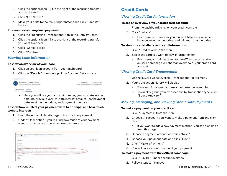- 2. Click the options icon  $(\frac{1}{2})$  to the right of the recurring transfer you want to edit
- 3. Click "Edit Series"
- 4. Make your edits to the recurring transfer, then click "Transfer Funds"

#### **To cancel a recurring loan payment:**

- 1. Click the "Recurring Transactions" tab in the Activity Center
- 2. Click the options icon  $(\frac{1}{2})$  to the right of the recurring transfer you want to cancel
- 4. Click "Cancel Series"
- 5. Click "Confirm"

## *Viewing Loan Information*

#### **To view an overview of your loan:**

- 1. Click on your loan account from your dashboard
- 2. Click on "Details" from the top of the Account Details page



 a. Here you will see your account number, year-to-date interest amount, previous year-to-date interest amount, last payment date, next payment date, and payment due date.

#### **To view how much of your payment went to principal and how much went to interest:**

- 1. From the Account Details page, click on a loan payment
- 2. Under "Description," you will find how much of your payment went to principal and how much went to interest

| OUT @ Transist Drive Sanking Trace Textile Asian Sharp Principal Anticipants                                                                                                                                                     |     |
|----------------------------------------------------------------------------------------------------------------------------------------------------------------------------------------------------------------------------------|-----|
| Decails -                                                                                                                                                                                                                        | xoa |
| <b>Standard Jr.</b><br>highway concelled a server that the state of the state of the concellent of the state of<br>Directory (2012)<br>Eagnest @ Drive farming Tool #494282 Than Ver 1991 19930 Trust shall 90-7 miniar airc 100 |     |

## **Credit Cards**

## *Viewing Credit Card Information*

#### **To see an overview of your credit card account:**

- 1. From the dashboard, click on your credit card tile
- 2. Click "Details"
	- a. From here, you can view your current balance, available balance, next payment due, and minimum payment due

#### **To view more detailed credit card information:**

- 1. Click "Credit Card" in the menu
- 2. Select the card you want to view information for
	- a. From here, you will be taken to the eZCard website. Your eZCard homepage will show an overview of your credit card account.

## *Viewing Credit Card Transactions*

- 1. On the eZCard website, click "Transactions" in the menu
- 2. Your transaction history will display
	- a. To search for a specific transaction, use the search bar
	- b. To quickly group your transactions by transaction type, click "Spend Analyzer"

## *Making, Managing, and Viewing Credit Card Payments*

#### **To make a payment on your credit card:**

- 1. Click "Payments" from the menu
- 2. Choose the account you want to make a payment from and click "Next"
	- a. If you want to add a new payment method, you can also do so from this page
- 3. Choose a payment amount and click "Next"
- 4. Choose your payment date and click "Next"
- 5. Click "Make a Payment"
- 6. You will receive confirmation of your payment

### **To make a payment from the eZCard homepage:**

- 1. Click "Pay Bill" under account overview
- 2. Follow steps 2 6 above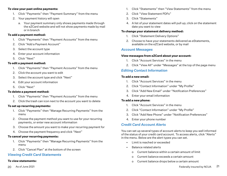#### **To view your past online payments:**

- 1. Click "Payments" then "Payment Summary" from the menu
- 2. Your payment history will open
	- a. Your payment summary only shows payments made through the eZCard website and will not show payments made by mail or in branch

#### **To add a payment method:**

- 1. Click "Payments" then "Payment Accounts" from the menu
- 2. Click "Add a Payment Account"
- 3. Select the account type
- 4. Enter your account information
- 5. Click "Next"

#### **To edit a payment method:**

- 1. Click "Payments" then "Payment Accounts" from the menu
- 2. Click the account you want to edit
- 3. Select the account type and click "Next"
- 4. Edit your account information
- 5. Click "Next"

#### **To delete a payment method:**

- 1. Click "Payments" then "Payment Accounts" from the menu
- 2. Click the trash can icon next to the account you want to delete

#### **To set up recurring payments:**

- 1. Click "Payments" then "Manage Recurring Payments" from the menu
- 2. Choose the payment method you want to use for your recurring payments, or enter new account information
- 3. Choose the amount you want to make your recurring payment for
- 4. Choose the payment frequency and click "Next"

#### **To cancel your recurring payments:**

- 1. Click "Payments" then "Manage Recurring Payments" from the menu
- 2. Click "Cancel Plan" at the bottom of the screen

#### *Viewing Credit Card Statements*

#### **To view statements:**

- 1. Click "Statements" then "View Statements" from the menu
- 2. Click "View Statement PDFs"
- 3. Click "Statements"
- 4. A list of your statement dates will pull up; click on the statement date you want to view

#### **To change your statement delivery method:**

- 1. Click "Statement Delivery Options"
- 2. Choose to have your statements delivered as eStatements, available on the eZCard website, or by mail

#### *Account Messages*

#### **View messages from eZCard about your account:**

- 1. Click "Account Services" in the menu
- 2. Click "View All" under "Messages" at the top of the page menu

#### *Editing Contact Information*

#### **To add a new email:**

- 1. Click "Account Services" in the menu
- 2. Click "Contact Information" under "My Profile"
- 3. Click "Add New Email" under "Notification Preferences"
- 4. Enter your email information

#### **To add a new phone:**

- 1. Click "Account Services" in the menu
- 2. Click "Contact Information" under "My Profile"
- 3. Click "Add New Phone" under "Notification Preferences"
- 4. Enter your phone number

#### *Credit Card Account Alerts*

You can set up several types of account alerts to keep you well informed of the status of your credit card account. To access alerts, click "Alerts" in the menu. Below are the alert types you can set.

- Limit is reached or exceeded
- Balance related alerts
	- o Current balance within a certain amount of limit
	- o Current balance exceeds a certain amount
	- o Current balance drops below a certain amount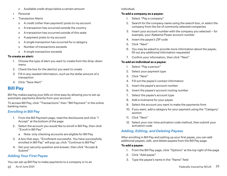- o Available credit drops below a certain amount
- **Personal**
- Transaction Alerts
	- o A credit (other than payment) posts to my account
	- o A transaction has occurred outside the country
	- o A transaction has occurred outside of this state
	- o A payment posts to my account
	- o A single transaction has occurred for a category
	- o Number of transactions exceeds
	- o A single transaction exceeds

#### **To create an alert:**

- 1. Choose the type of alert you want to create from the drop-down menu
- 2. Check the box for the alert(s) you want to create
- 3. Fill in any needed information, such as the dollar amount of a transaction
- 4. Click "Save Alert"

## **Bill Pay**

Bill Pay makes paying your bills on time easy by allowing you to set up automatic payments directly from your account.

To access Bill Pay, click "Transactions" then "Bill Payment" in the online banking menu.

## *Enrolling in Bill Pay*

- 1. From the Bill Payment page, read the disclosures and click "I Accept" at the bottom of the page
- 2. Select the account you would like to enroll in Bill Pay, then click "Enroll in Bill Pay"
	- a. Note: only checking accounts are eligible for Bill Pay
- 3. A box that says, "Enrollment successful. You have successfully enrolled in Bill Pay" will pop up; click "Continue to Bill Pay"
- 4. Set your security question and answer, then click "Accept & Submit"

## *Adding Your First Payee*

You can set up Bill Pay to make payments to a company or to an

individual.

#### **To add a company as a payee:**

- 1. Select "Pay a company"
- 2. Search for the company name using the search box, or select the company from the list of commonly selected companies
- 3. Insert your account number with the company you selected for example, your Alabama Power account number
- 4. Insert the payee's ZIP code
- 5. Click "Next"
- 6. You may be asked to provide more information about the payee; fill out any additional information requested
- 7. Confirm your information, then click "Next"

### **To add an individual as a payee:**

- 1. Select "Pay a person"
- 2. Select your payment type
- 3. Click "Next"
- 4. Fill out the payee's contact information
- 5. Insert the payee's account number
- 6. Insert the payee's account routing number
- 7. Select the payee's account type
- 8. Add a nickname for your payee
- 9. Select the account you want to make the payments from
- 10. If you want, add a category for your payment using the "Category' section
- 11. Click "Next"
- 12. Select your one-time activation code method, then submit your activation code

## *Adding, Editing, and Deleting Payees*

After enrolling in Bill Pay and setting up your first payee, you can add additional payees, edit, and delete payees from the Bill Pay page.

#### **To add a payee:**

- 1. From the Bill Pay page, click "Options" at the top right of the page
- 2. Click "Add payee"
- 3. Type the payee's name in the "Name" field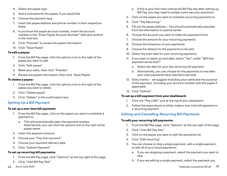- 4. Select the payee type
- 5. Add a nickname for the payee, if you would like
- 6. Choose the payment type
- 7. Insert the payee address and phone number in their respective fields
- 8. If you know the payee account number, insert the account number in the "Enter Payee Account Number" field and confirm in the next box
- 9. Click "Preview" to review the payee information
- 10. Click "Save Payee"

#### **To edit a payee:**

- 1. From the Bill Pay page, click the options icon to the right of the payee you want to edit
- 2. Click "Edit payee"
- 3. Make your edits, then click "Preview"
- 4. Review the payee information, then click "Save Payee"

#### **To delete a payee:**

- 1. From the Bill Pay page, click the options icon to the right of the payee you want to delete
- 2. Click "Delete payee"
- 3. Click "Delete" in the confirmation box

#### *Setting Up a Bill Payment*

#### **To set up a one-time bill payment:**

- 1. From the Bill Pay page, click on the payee you want to schedule a payment to
	- a. This will automatically open the payment window. Alternatively, you can click the options icon to the right of the payee name.
- 2. Insert the payment amount
- 3. Choose your "Pay from account"
- 4. Choose your payment delivery date
- 5. Click "Submit Payment"

#### **To set up recurring bill payments:**

- 1. From the Bill Pay page, click "Options" at the top right of the page
- 2. Click "Visit Bill Pay Site"
- a. If this is your first time visiting the Bill Pay site after setting up Bill Pay, you may need to answer some security questions
- 3. Click on the payee you want to schedule recurring payments to
- 4. Click "Pay Recurring"
- 5. Fill out the payee address this should automatically populate from the information to submit earlier
- 6. Choose the account you want to make the payments from
- 7. Choose the amount for your recurring payments
- 8. Choose the frequency of your payments
- 9. Choose the date(s) for the payments to be sent
- 10. Select the start date for your recurring payments
- 11. If you want to select an end date, select "Yes" under "Will this payment series end?"
	- a. Select the date for your last recurring bill payment
	- b. Alternatively, you can choose for the payments to end after your total payments have reached a set total
- 12. Add a memo we suggest including your name and the purpose of the payment, including your account number with the payee if applicable
- 13. Click "Submit"

#### **To set up a bill payment from your dashboard:**

- 1. Click the "Pay a Bill" icon at the top of your dashboard
- 2. Follow the steps above to either make a one-time bill payment or a recurring payment

### *Editing and Cancelling Recurring Bill Payments*

#### **To edit your recurring bill payments:**

- 1. From the Bill Pay page, click "Options" at the top right of the page
- 2. Click "Visit Bill Pay Site"
- 3. Click on the payee you want to edit the payments for
- 4. Click "Edit recurring"
- 5. You can choose to skip a single payment, edit a single payment, or edit all of your future payments
	- a. If you are skipping a payment, select the payment you want to skip
	- b. If you are editing a single payment, select the payment you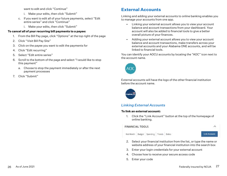want to edit and click "Continue"

- i. Make your edits, then click "Submit"
- c. If you want to edit all of your future payments, select "Edit entire series" and click "Continue"
	- i. Make your edits, then click "Submit"

#### **To cancel all of your recurring bill payments to a payee:**

- 1. From the Bill Pay page, click "Options" at the top right of the page
- 2. Click "Visit Bill Pay Site"
- 3. Click on the payee you want to edit the payments for
- 4. Click "Edit recurring"
- 5. Select "Edit entire series"
- 6. Scroll to the bottom of the page and select "I would like to stop this payment"
	- a. Choose to stop the payment immediately or after the next payment processes
- 7. Click "Submit"

## **External Accounts**

Linking and adding your external accounts to online banking enables you to manage your accounts from one app.

- Linking your external account allows you to view your account balance and account transactions from your dashboard. Your account will also be added to financial tools to give a better overall picture of your finances.
- Adding your external account allows you to view your account balance and account transactions, make transfers across your external accounts and your Alabama ONE accounts, and will be linked to financial tools.

You can identify your AOCU accounts by locating the "AOC" icon next to the account name.



External accounts will have the logo of the other financial institution before the account name.



## *Linking External Accounts*

#### **To link an external account:**

1. Click the "Link Account" button at the top of the homepage of online banking.



- 2. Select your financial institution from the list, or type the name or website address of your financial institution into the search box
- 3. Enter your login credentials for your external account
- 4. Choose how to receive your secure access code
- 5. Enter your code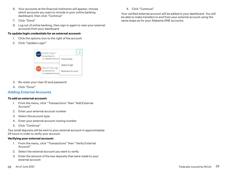- 6. Your accounts at the financial institution will appear; choose which accounts you want to include in your online banking dashboard, then click "Continue"
- 7. Click "Done"
- 8. Log out of online banking, then sign in again to view your external accounts from your dashboard

#### **To update login credentials for an external account:**

- 1. Click the options icon to the right of the account
- 2. Click "Update Login"



- 3. Re-enter your User ID and password
- 4. Click "Done"

#### *Adding External Accounts*

#### **To add an external account:**

- 1. From the menu, click "Transactions" then "Add External Account"
- 2. Enter your external account number
- 3. Select the account type
- 4. Enter your external account routing number
- 5. Click "Continue"

Two small deposits will be sent to your external account in approximately 24 hours in order to verify your account.

#### **Verifying your external account:**

- 1. From the menu, click "Transactions" then "Verify External Account"
- 2. Select the external account you want to verify
- 3. Enter the amount of the two deposits that were made to your external account

4. Click "Continue"

Your verified external account will be added to your dashboard. You will be able to make transfers to and from your external account using the same steps as for your Alabama ONE accounts.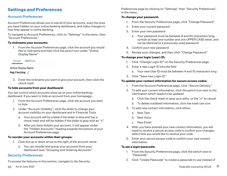## **Settings and Preferences**

### *Account Preferences*

Account Preferences allows you to see all of your accounts, even the ones you have hidden on your online banking dashboard, and make changes to how they appear in online banking.

To navigate to Account Preferences, click on "Settings" in the menu, then "Account Preferences."

#### **To nickname your accounts:**

1. From the Account Preferences page, click the account you would like to nickname and then click the pencil icon under "Online Display Name"

Details SMS/Text

#### Online Display Name

#### Reg Checking 0

2. Enter the nickname you want to give your account, then click the check mark

#### **To hide accounts from your dashboard:**

You can control which accounts show up on your online banking dashboard. If you want to hide an account from your homepage…

- 1. From the Account Preferences page, click the account you want to hide
- 2. Under "Account Visibility", click the slider to change your account visibility on your dashboard and in Financial Tools
	- a. Your account will be visible if the slider is blue and has a check mark and will be hidden if the slider is gray with an "x"
	- b. After you have hidden your account, it will appear under the "Hidden Accounts" heading towards the bottom of your Account Preferences page

#### **To reorder your accounts within their groups:**

- 1. Click the up or down arrow to the right of the account name
	- a. You can reorder and group your accounts from your dashboard (see "Grouping and Ordering Accounts"

#### *Security Preferences*

To access the features in this section, navigate to the Security

Preferences page by clicking on "Settings" then "Security Preferences" in the menu.

#### **To change your password:**

- 1. From the Security Preferences page, click "Change Password"
- 2. Enter your current password
- 3. Enter your new password
	- a Your password must be between 8 and 20 characters long, contain at least one number and one UPPER CASE letter, and not be identical to a previously used password
- 4. Confirm your new password
- 5. Review your changes, and then click "Change Password"

#### **To change your login (user) ID:**

- 1. Click "Change Login ID" on the Security Preferences page
- 2. Enter a new Login ID into the field
	- a. Your new User ID must be between 4 and 15 characters long
- 3. Click "Save new Login ID"

#### **To update your contact information for secure access codes:**

- 1. From the Account Preferences page, click "Secure Delivery"
- 2. To edit your current information, click the pencil icon next to the information which needs to be updated
	- a. Click the check mark to save your edits, or the "x" to cancel
	- b. To delete outdated information, click the trash can icon
- 3. To add new contact information, click either:
	- a. New Text
	- b. New Voice
	- c. New Email
- 4. After you have entered your new contact information, you will need to receive a secure access code to confirm your changes; select how you would like to receive your code
- 5. Enter your secure access code to confirm your new contact information

#### **To set a login passcode:**

- 1. From the Security Preferences page, click the switch next to "Passcode"
- 2. Click "Create Passcode" to create a passcode to use instead of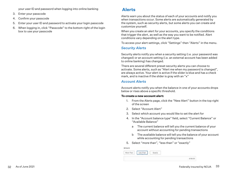your user ID and password when logging into online banking

- 3. Enter your passcode
- 4. Confirm your passcode
- 5. Enter your user ID and password to activate your login passcode
- 6. When logging in, click "Passcode" to the bottom right of the login box to use your passcode

## **Alerts**

Alerts warn you about the status of each of your accounts and notify you when transactions occur. Some alerts are automatically generated by the system, such as security alerts, but some alerts you can create and customize yourself.

When you create an alert for your accounts, you specify the conditions that trigger the alert, as well as the way you want to be notified. Alert conditions vary depending on the alert type.

To access your alert settings, click "Settings" then "Alerts" in the menu.

#### *Security Alerts*

Security alerts notify you when a security setting (i.e. your password was changed) or an account setting (i.e. an external account has been added to online banking) has changed.

There are several different preset security alerts you can choose to activate. Some alerts, such as "Alert me when my password is changed", are always active. Your alert is active if the slider is blue and has a check mark, and is inactive if the slider is gray with an "x"

#### *Account Alerts*

Account alerts notify you when the balance in one of your accounts drops below or rises above a specific threshold.

#### **To create a new account alert:**

- 1. From the Alerts page, click the "New Alert" button in the top right of the screen
- 2. Select "Account Alert"
- 3. Select which account you would like to set the alert for
- 4. In the "Account balance type" field, select "Current Balance" or "Available Balance"
	- a The current balance will tell you the current balance of your account without accounting for pending transactions
	- b The available balance will tell you the balance of your account while accounting for pending transactions
- 5. Select "more than", "less than" or "exactly"

| More Than | Less Than | <b>Exactly</b> |                                                                                                                                                                                                                                                  |
|-----------|-----------|----------------|--------------------------------------------------------------------------------------------------------------------------------------------------------------------------------------------------------------------------------------------------|
|           |           |                |                                                                                                                                                                                                                                                  |
| ÷         |           |                | \$100.00<br><b>The Contract of the Contract of the Contract of the Contract of the Contract of the Contract of the Contract of the Contract of the Contract of the Contract of the Contract of the Contract of the Contract of the Contract </b> |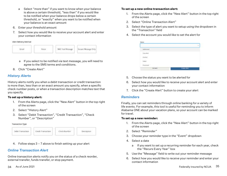- a Select "more than" if you want to know when your balance is above a certain threshold, "less than" if you would like to be notified when your balance drops below a certain threshold, or "exactly" when you want to be notified when your balance is an exact amount
- 6. Enter your threshold amount
- 7. Select how you would like to receive your account alert and enter your contact information

Alert Delivery Method



- a If you select to be notified via text message, you will need to agree to the SMS terms and conditions.
- 8. Click "Create Alert"

#### *History Alerts*

History alerts notify you when a debit transaction or credit transaction is more than, less than or an exact amount you specify, when a specific check number posts, or when a transaction description matches text that you specify.

#### **To set up a history alert:**

- 1. From the Alerts page, click the "New Alert" button in the top right of the screen
- 2. Select "History Alert"
- 3. Select "Debit Transaction", "Credit Transaction", "Check Number", or "Description"

**Transaction Type** 



4. Follow steps 3 – 7 above to finish setting up your alert

#### *Online Transaction Alert*

Online transaction alerts notify you on the status of a check reorder, external transfer, funds transfer, or stop payment.

#### **To set up a new online transaction alert:**

- 1. From the Alerts page, click the "New Alert" button in the top right of the screen
- 2. Select "Online Transaction Alert"
- 3. Select the type of alert you want to setup using the dropdown in the "Transaction" field
- 4. Select the account you would like to set the alert for

| 120120-004 | <b>BUSING COUNTY</b><br><b>CHAIR AREE</b> |
|------------|-------------------------------------------|

- 5. Choose the status you want to be alerted for
- 6. Select how you would like to receive your account alert and enter your contact information
- 7. Click the "Create Alert" button to create your alert

#### *Reminders*

Finally, you can set reminders through online banking for a variety of life events. For example, this tool is useful for reminding you to inform Alabama ONE about your vacation plans, so your account can be marked for travel.

#### **To set up a new reminder:**

- 1. From the Alerts page, click the "New Alert" button in the top right of the screen
- 2. Select "Reminder"
- 3. Choose your reminder type in the "Event" dropdown
- 4. Select a date
	- a If you want to set up a recurring reminder for each year, check the "Recurs Every Year" box
- 5. Use the "Message" field to write out your reminder message
- 6. Select how you would like to receive your reminder and enter your contact information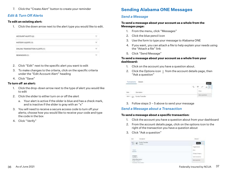7. Click the "Create Alert" button to create your reminder

#### *Edit & Turn Off Alerts*

#### **To edit an existing alert:**

1. Click the down arrow next to the alert type you would like to edit.

| ACCOUNT ALERTS (2)                    | ×.                       |
|---------------------------------------|--------------------------|
| HISTORY ALERTS (T)<br><b>ARACTERS</b> | ν                        |
| <b>ONLINE TRANSACTION ALERTS (1)</b>  |                          |
| REMINDERS (1)                         | $\overline{\phantom{a}}$ |

- 2. Click "Edit" next to the specific alert you want to edit
- 3. To make changes to the criteria, click on the specific criteria under the "Edit Account Alert" heading
- 4. Click "Save"

#### **To turn off an alert:**

- 1. Click the drop-down arrow next to the type of alert you would like to edit
- 2. Click the slider to either turn on or off the alert
	- a. Your alert is active if the slider is blue and has a check mark, and is inactive if the slider is gray with an "x"
- 3. You will need to receive a secure access code to turn off your alerts; choose how you would like to receive your code and type the code in the box
- 4. Click "Verify"

## **Sending Alabama ONE Messages**

#### *Send a Message*

#### **To send a message about your account as a whole from the Messages page:**

- 1. From the menu, click "Messages"
- 2. Click the blue pencil icon
- 3. Use the form to type your message to Alabama ONE
- 4. If you want, you can attach a file to help explain your needs using the "Attach a file" link
- 5. Click "Send Message"

#### **To send a message about your account as a whole from your dashboard:**

- 1. Click on the account you have a question about.
- 2. Click the Options icon  $\pm$  from the account details page, then "Ask a question"

| W/FT (G), Funds Transfer |  |
|--------------------------|--|

3. Follow steps 3 – 5 above to send your message

#### *Send a Message about a Transaction*

#### **To send a message about a specific transaction:**

- 1. Click the account you have a question about from your dashboard
- 2. From the account details page, click on the options icon to the right of the transaction you have a question about
- 3. Click "Ask a question"

|                                   | Funda fransfer |              |  |
|-----------------------------------|----------------|--------------|--|
|                                   |                | m            |  |
| ma                                |                | in in        |  |
|                                   |                |              |  |
| <b>LATIQUE</b>                    |                | Scott to ser |  |
| x<br><b>Frank: Transfer</b><br>a. |                |              |  |
| Numerous Presidents               |                |              |  |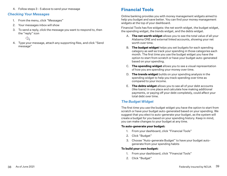4. Follow steps 3 - 5 above to send your message

#### *Checking Your Messages*

- 1. From the menu, click "Messages"
- 2. Your messages inbox will show
- 3. To send a reply, click the message you want to respond to, then the "reply" icon
	- ⇘
- 4. Type your message, attach any supporting files, and click "Send message"

## **Financial Tools**

Online banking provides you with money management widgets aimed to help you budget and save better. You can find your money management widgets at the top of your dashboard.

Financial Tools has five widgets: the net worth widget, the budget widget, the spending widget, the trends widget, and the debts widget.

- A. **The net worth widget** allows you to see the total value of all your Alabama ONE and external linked accounts, showing your net worth over time.
- B. **The budget widget** helps you set budgets for each spending category as well as track your spending in those categories each month. The first time you use the budget widget you have the option to start from scratch or have your budget auto-generated based on your spending.
- C. **The spending widget** allows you to see a visual representation of how you are spending your money over time.
- D. **The trends widget** builds on your spending analysis in the spending widget to help you track spending over time as compared to your income.
- E. **The debts widget** allows you to see all of your debt accounts (like loans) in one place and calculate how making additional payments, or paying off your debt completely, could affect your total debt over time.

### *The Budget Widget*

The first time you use the budget widget you have the option to start from scratch or have your budget auto-generated based on your spending. We suggest that you elect to auto-generate your budget, as the system will create a budget for you based on your spending history. Keep in mind, you can make changes to your budget at any time.

#### **To auto-generate your budget:**

- 1. From your dashboard, click "Financial Tools"
- 2. Click "Budget"
- 3. Choose "Auto-generate Budget" to have your budget auto generate from your spending habits

#### **To build your own budget:**

- 1. From your dashboard, click "Financial Tools"
- 2. Click "Budget"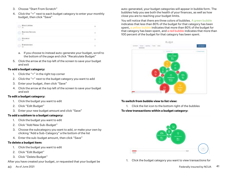- 3. Choose "Start From Scratch"
- 4. Click the "+" next to each budget category to enter your monthly budget, then click "Save"

| & Littleton                               |           |
|-------------------------------------------|-----------|
| <b>Business Services</b><br>n.<br>$-8.07$ | <b>AP</b> |
| 50 <sub>2</sub>                           |           |
|                                           |           |

- a. If you choose to instead auto-generate your budget, scroll to the bottom of the page and click "Recalculate Budget"
- 5. Click the arrow at the top left of the screen to save your budget and exit

#### **To add a budget category:**

- 1. Click the "+" in the right top corner
- 2. Click the "+" next to the budget category you want to add
- 3. Enter your budget, then click "Save"
- 4. Click the arrow at the top left of the screen to save your budget and exit

#### **To edit a budget category:**

- 1. Click the budget you want to edit
- 2. Click "Edit Budget"
- 3. Enter your new budget amount and click "Save"

#### **To add a subitem to a budget category:**

- 1. Click the budget you want to edit
- 2. Click "Add New Sub-Budget"
- 3. Choose the subcategory you want to add, or make your own by clicking "Add a Sub-Category" a the bottom of the list
- 4. Enter the sub-budget amount, then click "Save"

#### **To delete a budget item:**

- 1. Click the budget you want to edit
- 2. Click "Edit Budget"
- 3. Click "Delete Budget"
- After you have created your budget, or requested that your budget be

auto-generated, your budget categories will appear in bubble form. The bubbles help you see both the health of your finances, as well as how close you are to reaching your budget limits.

You will notice that there are three colors of bubbles. A green bubble indicates that less than 80% of the budget for that category has been spent, a yellow bubble indicates that more than 80% of the budget for that category has been spent, and a red bubble indicates that more than 100 percent of the budget for that category has been spent.



#### **To switch from bubble view to list view:**

1. Click the list icon to the bottom right of the bubbles

#### **To view transactions within a budget category:**



1. Click the budget category you want to view transactions for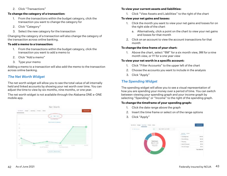2. Click "Transactions"

#### **To change the category of a transaction:**

- 1. From the transactions within the budget category, click the transaction you want to change the category for
- 2. Click "Category"
- 3. Select the new category for the transaction

Changing the category of a transaction will also change the category of the transaction across online banking.

#### **To add a memo to a transaction:**

- 1. From the transactions within the budget category, click the transaction you want to add a memo to
- 2. Click "Add a memo"
- 3. Type your memo

Adding a memo to a transaction will also add the memo to the transaction across online banking.

## *The Net Worth Widget*

The net worth widget will allow you to see the total value of all internally held and linked accounts by showing your net worth over time. You can adjust the time to view by six months, nine months, or one year.

The net worth widget is not available through the Alabama ONE e-ONE mobile app.



#### **To view your current assets and liabilities:**

1. Click "View Assets and Liabilities" to the right of the chart

#### **To view your net gains and losses:**

- 1. Click the month you want to view your net gains and losses for on the right side of the chart
	- a. Alternatively, click a point on the chart to view your net gains and losses for that month
- 2. Click on an account to view the account transactions for that month

#### **To change the time frame of your chart:**

1. Above the chart, select "6M" for a six month view, 9M for a nine month view, or 1Y for a one year view

#### **To view your net worth in a specific account:**

- 1. Click "Filter Accounts" to the upper left of the chart
- 2. Choose the accounts you want to include in the analysis
- 3. Click "Apply"

## *The Spending Widget*

The spending widget will allow you to see a visual representation of how you are spending your money over a period of time. You can switch between viewing your spending graph and your income graph by selecting "Spending" or "Income" to the right of the spending graph.

#### **To change the timeframe of your spending graph:**

- 1. Click the date range above the graph
- 2. Insert the time frame or select on of the range options
- 3. Click "Apply"

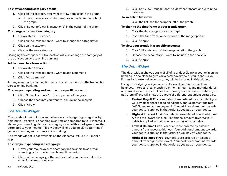#### **To view spending category details:**

- 1. Click on the category you want to view details for in the graph
	- a. Alternatively, click on the category in the list to the right of the graph
- 2. Click "Select to View Transactions" in the center of the graph

#### **To change a transaction category:**

- 1. Follow steps 1 2 above
- 2. Click on the transaction you want to change the category for
- 3. Click on the category
- 4. Choose the new category

Changing the category of a transaction will also change the category of the transaction across online banking.

#### **Add a memo to a transaction:**

- 1. Follow step 1 above
- 2. Click on the transaction you want to add a memo to
- 3. Click "Add a memo"

Adding a memo to a transaction will also add the memo to the transaction across online banking.

#### **To view your spending and income in a specific account:**

- 1. Click "Filter Accounts" to the upper left of the graph
- 2. Choose the accounts you want to include in the analysis
- 3. Click "Apply"

## *The Trends Widget*

The trends widget builds even further on your budgeting categories by helping you track your spending over time as compared to your income. It shows your spending history by category along with a dark green line that correlates to your income. This widget will help you quickly determine if you are spending more than you are making.

The trends widget is not available on the Alabama ONE e-ONE mobile app.

#### **To view your spending in a category:**

- 1. Hover your mouse over the category in the chart to see total spending or income for the chosen time period
- 2. Click on the category, either in the chart or in the key below the chart for an expanded view

3. Click on "View Transactions" to view the transactions within the category

#### **To switch to list view:**

1. Click the list icon to the upper left of the graph

#### **To change the timeframe of your trends graph:**

- 1. Click the date range above the graph
- 2. Insert the time frame or select one of the range options
- 3. Click "Apply"

#### **To view your trends in a specific account:**

- 1. Click "Filter Accounts" to the upper left of the graph
- 2. Choose the accounts you want to include in the analysis
- 3. Click "Apply"

## *The Debt Widget*

The debt widget shows details of all of your debt (loan) accounts in online banking in one place to give you a better overview of your debt. As you link and add external accounts, they will be included in this widget.

Using this widget gives you a current view of your individual loan balances, interest rates, monthly payment amounts, and maturity dates, all shown below the chart. The chart shows your decrease in debt as you pay them off and will show the effects of different repayment strategies.

- **Fastest Payoff First** Your debts are ordered by which debt you will pay off soonest based on balance, annual percentage rate (APR), and minimum payment. Your additional amount towards your debts is applied in that order as you pay off your debts.
- **Highest Interest First** Your debts are ordered from the highest APR to the lowest APR. Your additional amount towards your debts is applied in that order as you pay off your debts.
- **Lowest Balance First**-Your debts are ordered by balance amount from lowest to highest. Your additional amount towards your debts is applied in that order as you pay off your debts.
- **Highest Balance First** Your debts are ordered by balance amount from highest to lowest. Your additional amount towards your debts is applied in that order as you pay off your debts.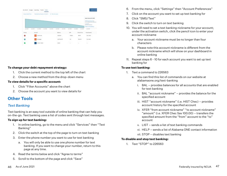

#### **To change your debt repayment strategy:**

- 1. Click the current method to the top left of the chart
- 2. Choose a new method from the drop-down menu

#### **To view details for a specific account:**

- 1. Click "Filter Accounts" above the chart
- 2. Choose the account you want to view details for

## **Other Tools**

#### *Text Banking*

Text banking is an easy tool outside of online banking that can help you on-the-go. Text banking uses a list of codes sent through text messages.

#### **To sign up for text banking:**

- 1. In online banking, go to the menu and click "Services" then "Text Banking"
- 2. Click the switch at the top of the page to turn on text banking
- 3. Enter the phone number you want to use for text banking
	- a. You will only be able to use one phone number for text banking. If you want to change your number, return to this page at any time.
- 4. Read the terms below and click "Agree to terms"
- 5. Scroll to the bottom of the page and click "Save"
- 6. From the menu, click "Settings" then "Account Preferences"
- 7. Click on the account you want to set up text banking for
- 8. Click "SMS/Text"
- 9. Click the switch to turn on text banking
- 10. You will need to set a text banking nickname for your account; under the activation switch, click the pencil icon to enter your account nickname
	- a. Your account nickname must be no longer than four characters
	- b. Please note this account nickname is different from the account nickname which will show on your dashboard in online banking
- 11. Repeat steps 6 10 for each account you want to set up text banking for

#### **To use text banking:**

- 1. Text a command to 226563
	- a. You can find this list of commands on our website at alabamaone.org/text-banking
		- i. BAL provides balances for all accounts that are enabled for text banking
		- ii. BAL "account nickname" provides the balance for the specified account
		- iii. HIST "account nickname" (i.e. HIST Chec) provides account history for the specified account
		- iv. XFER "from account nickname" "to account nickname" "amount" (i.e. XFER Chec Sav 100.00) – transfers the specified amount from the "from" account to the "to" account
		- v. LIST sends a list of text banking commands
		- vi. HELP sends a list of Alabama ONE contact information
		- vii. STOP disables text banking

#### **To disable and stop text banking:**

1. Text "STOP" to 226563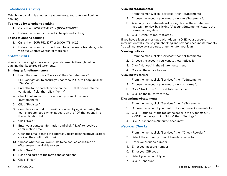### *Telephone Banking*

Telephone banking is another great on-the-go tool outside of online banking.

#### **To sign up for telephone banking:**

- 1. Call either (205) 752-1777 or (800) 478-1025
- 2. Follow the prompts to enroll in telephone banking

#### **To use telephone banking:**

- 1. Call either (205) 752-1777 or (800) 478-1025
- 2. Follow the prompts to check your balance, make transfers, or talk with our Contact Center for more help

#### *eStatements*

You can access digital versions of your statements through online banking thanks to free eStatements.

#### **Signing up for eStatements:**

- 1. From the menu, click "Services" then "eStatements"
- 2. PDF verification, to ensure you can view PDFs, will pop up; click "Get Code"
- 3. Enter the four-character code on the PDF that opens into the verification field, then click "Verify"
- 4. Check the box next to the account you want to view an eStatement for
- 5. Click "Register"
- 6. Complete a second PDF verification test by again entering the four-character code which appears on the PDF that opens into the verification field
- 7. Click "Next"
- 8. Enter your contact information and click "Next" to receive a confirmation email
- 9. Open the email sent to the address you listed in the previous step; click on the confirmation link
- 10. Choose whether you would like to be notified each time an eStatement is available to view
- 11. Click "Next"
- 12. Read and agree to the terms and conditions
- 13. Click "Finish"

#### **Viewing eStatements:**

- 1. From the menu, click "Services" then "eStatements"
- 2. Choose the account you want to view an eStatement for
- 3. A list of your eStatments will show; choose the eStatement you want to view by clicking "Account Statements" next to the corresponding date
- 4. Click "Done" to return to step 2

If you have a loan or mortgage with Alabama ONE, your account information will show on your checking and savings account statements. You will not receive a separate statement for your loan.

#### **Viewing notices:**

- 1. From the menu, click "Services" then "eStatements"
- 2. Choose the account you want to view notices for
- 3. Click "Notices" in the eStatements menu
- 4. Click on the notice to view

#### **Viewing tax forms:**

- 1. From the menu, click "Services" then "eStatements"
- 2. Choose the account you want to view tax forms for
- 3. Click "Tax Forms" in the eStatements menu
- 4. Click on the tax form to view

#### **Discontinue eStatements:**

- 1. From the menu, click "Services" then "eStatements"
- 2. Choose the account you want to discontinue eStatements for
- 3. Click "Settings" at the top of the page; in the Alabama ONE e-ONE mobile app, click "More" then "Settings"
- 4. Click "Discontinue/Resume Accounts"

#### *Reorder Checks*

- 1. From the menu, click "Services" then "Check Reorder"
- 2. Select the account you want to order checks for
- 3. Enter your routing number
- 4. Enter your account number
- 5. Enter your ZIP code
- 6. Select your account type
- 7. Click "Continue"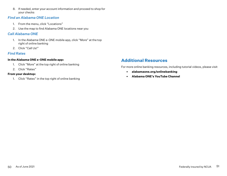8. If needed, enter your account information and proceed to shop for your checks

#### *Find an Alabama ONE Location*

- 1. From the menu, click "Locations"
- 2. Use the map to find Alabama ONE locations near you

#### *Call Alabama ONE*

- 1. In the Alabama ONE e-ONE mobile app, click "More" at the top right of online banking
- 2. Click "Call Us!"

## *Find Rates*

#### **In the Alabama ONE e-ONE mobile app:**

- 1. Click "More" at the top right of online banking
- 2. Click "Rates"

#### **From your desktop:**

1. Click "Rates" in the top right of online banking

## **Additional Resources**

For more online banking resources, including tutorial videos, please visit

- **• alabamaone.org/onlinebanking**
- **• Alabama ONE's YouTube Channel**